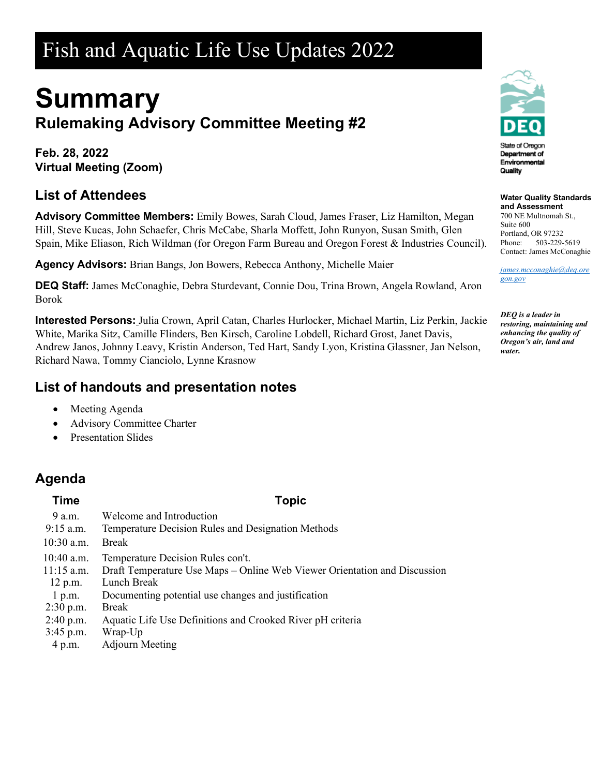# Fish and Aquatic Life Use Updates 2022

# **Summary Rulemaking Advisory Committee Meeting #2**

**Feb. 28, 2022 Virtual Meeting (Zoom)**

# **List of Attendees**

**Advisory Committee Members:** Emily Bowes, Sarah Cloud, James Fraser, Liz Hamilton, Megan Hill, Steve Kucas, John Schaefer, Chris McCabe, Sharla Moffett, John Runyon, Susan Smith, Glen Spain, Mike Eliason, Rich Wildman (for Oregon Farm Bureau and Oregon Forest & Industries Council).

**Agency Advisors:** Brian Bangs, Jon Bowers, Rebecca Anthony, Michelle Maier

**DEQ Staff:** James McConaghie, Debra Sturdevant, Connie Dou, Trina Brown, Angela Rowland, Aron Borok

**Interested Persons:** Julia Crown, April Catan, Charles Hurlocker, Michael Martin, Liz Perkin, Jackie White, Marika Sitz, Camille Flinders, Ben Kirsch, Caroline Lobdell, Richard Grost, Janet Davis, Andrew Janos, Johnny Leavy, Kristin Anderson, Ted Hart, Sandy Lyon, Kristina Glassner, Jan Nelson, Richard Nawa, Tommy Cianciolo, Lynne Krasnow

# **List of handouts and presentation notes**

- Meeting Agenda
- Advisory Committee Charter
- Presentation Slides

# **Agenda**

#### **Time Topic**

| 9 a.m.<br>$9:15$ a.m. | Welcome and Introduction<br>Temperature Decision Rules and Designation Methods |
|-----------------------|--------------------------------------------------------------------------------|
| $10:30$ a.m.          | <b>Break</b>                                                                   |
| $10:40$ a.m.          | Temperature Decision Rules con't.                                              |
| $11:15$ a.m.          | Draft Temperature Use Maps – Online Web Viewer Orientation and Discussion      |
| $12$ p.m.             | Lunch Break                                                                    |
| 1 p.m.                | Documenting potential use changes and justification                            |
| $2:30$ p.m.           | <b>Break</b>                                                                   |
| $2:40$ p.m.           | Aquatic Life Use Definitions and Crooked River pH criteria                     |
| $3:45$ p.m.           | Wrap-Up                                                                        |
| 4 p.m.                | <b>Adjourn Meeting</b>                                                         |



### **Water Quality Standards**

**and Assessment** 700 NE Multnomah St., Suite 600 Portland, OR 97232 Phone: 503-229-5619 Contact: James McConaghie

*[james.mcconaghie@deq.ore](mailto:james.mcconaghie@deq.oregon.gov) [gon.gov](mailto:james.mcconaghie@deq.oregon.gov)*

*DEQ is a leader in restoring, maintaining and enhancing the quality of Oregon's air, land and water.*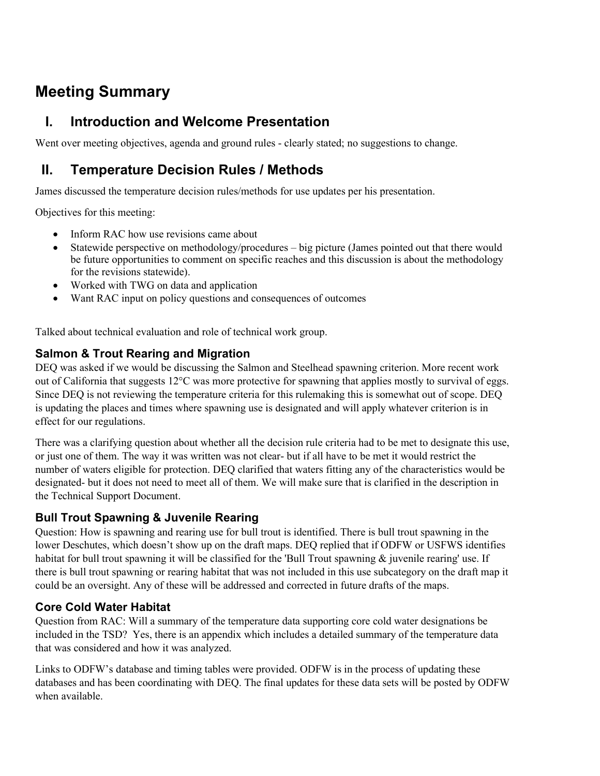# **Meeting Summary**

# **I. Introduction and Welcome Presentation**

Went over meeting objectives, agenda and ground rules - clearly stated; no suggestions to change.

# **II. Temperature Decision Rules / Methods**

James discussed the temperature decision rules/methods for use updates per his presentation.

Objectives for this meeting:

- Inform RAC how use revisions came about
- Statewide perspective on methodology/procedures big picture (James pointed out that there would be future opportunities to comment on specific reaches and this discussion is about the methodology for the revisions statewide).
- Worked with TWG on data and application
- Want RAC input on policy questions and consequences of outcomes

Talked about technical evaluation and role of technical work group.

#### **Salmon & Trout Rearing and Migration**

DEQ was asked if we would be discussing the Salmon and Steelhead spawning criterion. More recent work out of California that suggests 12°C was more protective for spawning that applies mostly to survival of eggs. Since DEQ is not reviewing the temperature criteria for this rulemaking this is somewhat out of scope. DEQ is updating the places and times where spawning use is designated and will apply whatever criterion is in effect for our regulations.

There was a clarifying question about whether all the decision rule criteria had to be met to designate this use, or just one of them. The way it was written was not clear- but if all have to be met it would restrict the number of waters eligible for protection. DEQ clarified that waters fitting any of the characteristics would be designated- but it does not need to meet all of them. We will make sure that is clarified in the description in the Technical Support Document.

#### **Bull Trout Spawning & Juvenile Rearing**

Question: How is spawning and rearing use for bull trout is identified. There is bull trout spawning in the lower Deschutes, which doesn't show up on the draft maps. DEQ replied that if ODFW or USFWS identifies habitat for bull trout spawning it will be classified for the 'Bull Trout spawning & juvenile rearing' use. If there is bull trout spawning or rearing habitat that was not included in this use subcategory on the draft map it could be an oversight. Any of these will be addressed and corrected in future drafts of the maps.

#### **Core Cold Water Habitat**

Question from RAC: Will a summary of the temperature data supporting core cold water designations be included in the TSD? Yes, there is an appendix which includes a detailed summary of the temperature data that was considered and how it was analyzed.

Links to ODFW's database and timing tables were provided. ODFW is in the process of updating these databases and has been coordinating with DEQ. The final updates for these data sets will be posted by ODFW when available.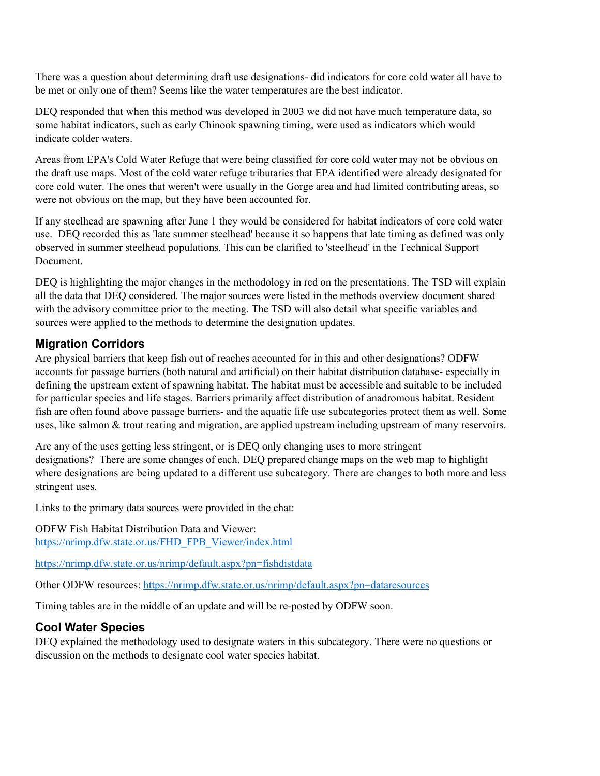There was a question about determining draft use designations- did indicators for core cold water all have to be met or only one of them? Seems like the water temperatures are the best indicator.

DEQ responded that when this method was developed in 2003 we did not have much temperature data, so some habitat indicators, such as early Chinook spawning timing, were used as indicators which would indicate colder waters.

Areas from EPA's Cold Water Refuge that were being classified for core cold water may not be obvious on the draft use maps. Most of the cold water refuge tributaries that EPA identified were already designated for core cold water. The ones that weren't were usually in the Gorge area and had limited contributing areas, so were not obvious on the map, but they have been accounted for.

If any steelhead are spawning after June 1 they would be considered for habitat indicators of core cold water use. DEQ recorded this as 'late summer steelhead' because it so happens that late timing as defined was only observed in summer steelhead populations. This can be clarified to 'steelhead' in the Technical Support Document.

DEQ is highlighting the major changes in the methodology in red on the presentations. The TSD will explain all the data that DEQ considered. The major sources were listed in the methods overview document shared with the advisory committee prior to the meeting. The TSD will also detail what specific variables and sources were applied to the methods to determine the designation updates.

#### **Migration Corridors**

Are physical barriers that keep fish out of reaches accounted for in this and other designations? ODFW accounts for passage barriers (both natural and artificial) on their habitat distribution database- especially in defining the upstream extent of spawning habitat. The habitat must be accessible and suitable to be included for particular species and life stages. Barriers primarily affect distribution of anadromous habitat. Resident fish are often found above passage barriers- and the aquatic life use subcategories protect them as well. Some uses, like salmon & trout rearing and migration, are applied upstream including upstream of many reservoirs.

Are any of the uses getting less stringent, or is DEQ only changing uses to more stringent designations? There are some changes of each. DEQ prepared change maps on the web map to highlight where designations are being updated to a different use subcategory. There are changes to both more and less stringent uses.

Links to the primary data sources were provided in the chat:

ODFW Fish Habitat Distribution Data and Viewer: [https://nrimp.dfw.state.or.us/FHD\\_FPB\\_Viewer/index.html](https://nrimp.dfw.state.or.us/FHD_FPB_Viewer/index.html)

<https://nrimp.dfw.state.or.us/nrimp/default.aspx?pn=fishdistdata>

Other ODFW resources:<https://nrimp.dfw.state.or.us/nrimp/default.aspx?pn=dataresources>

Timing tables are in the middle of an update and will be re-posted by ODFW soon.

#### **Cool Water Species**

DEQ explained the methodology used to designate waters in this subcategory. There were no questions or discussion on the methods to designate cool water species habitat.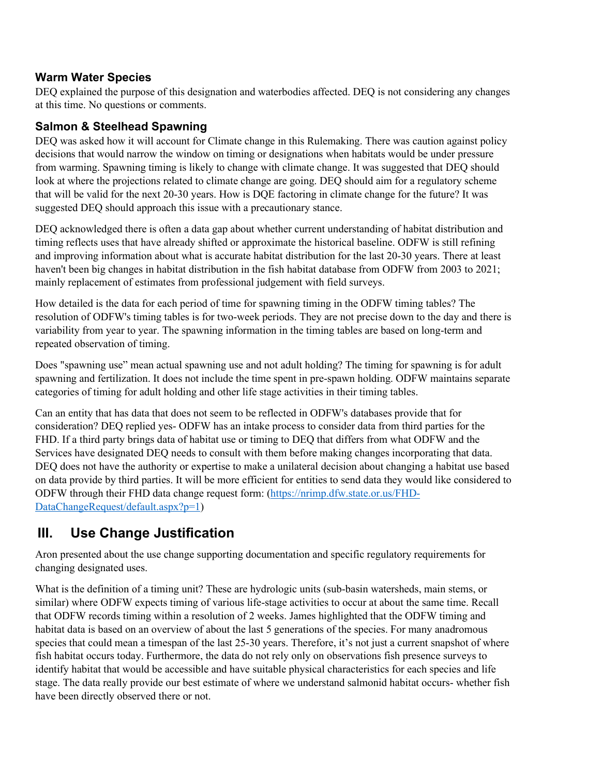#### **Warm Water Species**

DEQ explained the purpose of this designation and waterbodies affected. DEQ is not considering any changes at this time. No questions or comments.

#### **Salmon & Steelhead Spawning**

DEQ was asked how it will account for Climate change in this Rulemaking. There was caution against policy decisions that would narrow the window on timing or designations when habitats would be under pressure from warming. Spawning timing is likely to change with climate change. It was suggested that DEQ should look at where the projections related to climate change are going. DEQ should aim for a regulatory scheme that will be valid for the next 20-30 years. How is DQE factoring in climate change for the future? It was suggested DEQ should approach this issue with a precautionary stance.

DEQ acknowledged there is often a data gap about whether current understanding of habitat distribution and timing reflects uses that have already shifted or approximate the historical baseline. ODFW is still refining and improving information about what is accurate habitat distribution for the last 20-30 years. There at least haven't been big changes in habitat distribution in the fish habitat database from ODFW from 2003 to 2021; mainly replacement of estimates from professional judgement with field surveys.

How detailed is the data for each period of time for spawning timing in the ODFW timing tables? The resolution of ODFW's timing tables is for two-week periods. They are not precise down to the day and there is variability from year to year. The spawning information in the timing tables are based on long-term and repeated observation of timing.

Does "spawning use" mean actual spawning use and not adult holding? The timing for spawning is for adult spawning and fertilization. It does not include the time spent in pre-spawn holding. ODFW maintains separate categories of timing for adult holding and other life stage activities in their timing tables.

Can an entity that has data that does not seem to be reflected in ODFW's databases provide that for consideration? DEQ replied yes- ODFW has an intake process to consider data from third parties for the FHD. If a third party brings data of habitat use or timing to DEQ that differs from what ODFW and the Services have designated DEQ needs to consult with them before making changes incorporating that data. DEQ does not have the authority or expertise to make a unilateral decision about changing a habitat use based on data provide by third parties. It will be more efficient for entities to send data they would like considered to ODFW through their FHD data change request form: [\(https://nrimp.dfw.state.or.us/FHD-](https://nrimp.dfw.state.or.us/FHD-DataChangeRequest/default.aspx?p=1)[DataChangeRequest/default.aspx?p=1\)](https://nrimp.dfw.state.or.us/FHD-DataChangeRequest/default.aspx?p=1)

# **III. Use Change Justification**

Aron presented about the use change supporting documentation and specific regulatory requirements for changing designated uses.

What is the definition of a timing unit? These are hydrologic units (sub-basin watersheds, main stems, or similar) where ODFW expects timing of various life-stage activities to occur at about the same time. Recall that ODFW records timing within a resolution of 2 weeks. James highlighted that the ODFW timing and habitat data is based on an overview of about the last 5 generations of the species. For many anadromous species that could mean a timespan of the last 25-30 years. Therefore, it's not just a current snapshot of where fish habitat occurs today. Furthermore, the data do not rely only on observations fish presence surveys to identify habitat that would be accessible and have suitable physical characteristics for each species and life stage. The data really provide our best estimate of where we understand salmonid habitat occurs- whether fish have been directly observed there or not.